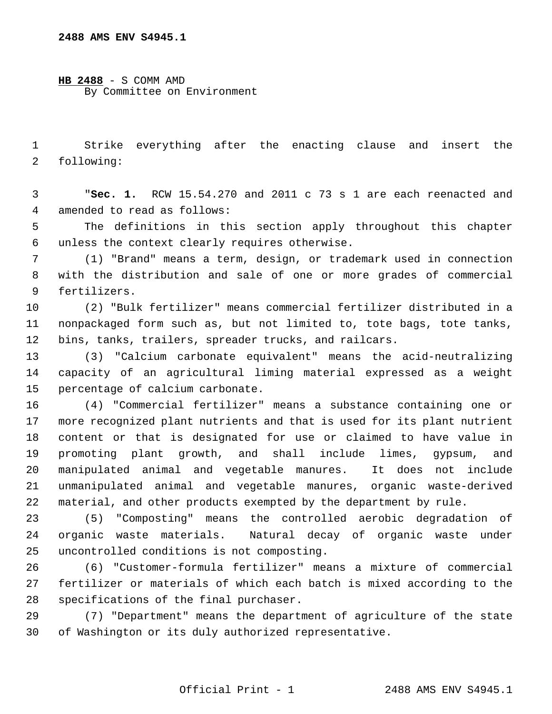**2488 AMS ENV S4945.1**

**HB 2488** - S COMM AMD By Committee on Environment

 1 Strike everything after the enacting clause and insert the 2 following:

 3 "**Sec. 1.** RCW 15.54.270 and 2011 c 73 s 1 are each reenacted and 4 amended to read as follows:

 5 The definitions in this section apply throughout this chapter 6 unless the context clearly requires otherwise.

 7 (1) "Brand" means a term, design, or trademark used in connection 8 with the distribution and sale of one or more grades of commercial 9 fertilizers.

10 (2) "Bulk fertilizer" means commercial fertilizer distributed in a 11 nonpackaged form such as, but not limited to, tote bags, tote tanks, 12 bins, tanks, trailers, spreader trucks, and railcars.

13 (3) "Calcium carbonate equivalent" means the acid-neutralizing 14 capacity of an agricultural liming material expressed as a weight 15 percentage of calcium carbonate.

16 (4) "Commercial fertilizer" means a substance containing one or 17 more recognized plant nutrients and that is used for its plant nutrient 18 content or that is designated for use or claimed to have value in 19 promoting plant growth, and shall include limes, gypsum, and 20 manipulated animal and vegetable manures. It does not include 21 unmanipulated animal and vegetable manures, organic waste-derived 22 material, and other products exempted by the department by rule.

23 (5) "Composting" means the controlled aerobic degradation of 24 organic waste materials. Natural decay of organic waste under 25 uncontrolled conditions is not composting.

26 (6) "Customer-formula fertilizer" means a mixture of commercial 27 fertilizer or materials of which each batch is mixed according to the 28 specifications of the final purchaser.

29 (7) "Department" means the department of agriculture of the state 30 of Washington or its duly authorized representative.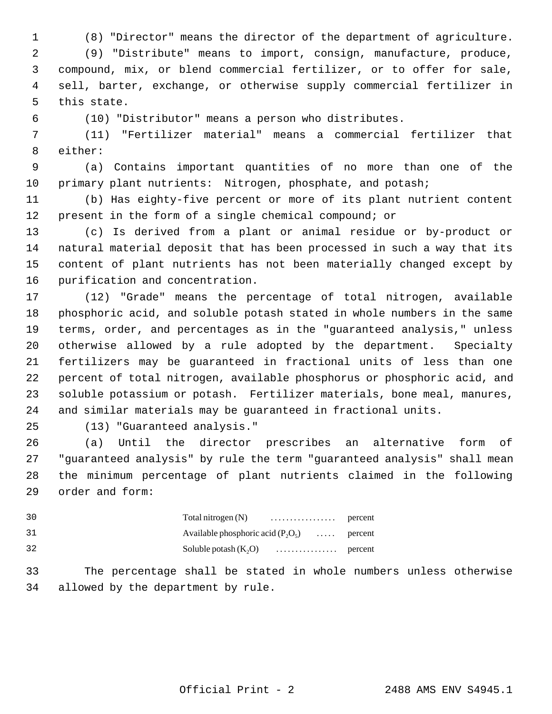1 (8) "Director" means the director of the department of agriculture.

 2 (9) "Distribute" means to import, consign, manufacture, produce, 3 compound, mix, or blend commercial fertilizer, or to offer for sale, 4 sell, barter, exchange, or otherwise supply commercial fertilizer in 5 this state.

6 (10) "Distributor" means a person who distributes.

 7 (11) "Fertilizer material" means a commercial fertilizer that 8 either:

 9 (a) Contains important quantities of no more than one of the 10 primary plant nutrients: Nitrogen, phosphate, and potash;

11 (b) Has eighty-five percent or more of its plant nutrient content 12 present in the form of a single chemical compound; or

13 (c) Is derived from a plant or animal residue or by-product or 14 natural material deposit that has been processed in such a way that its 15 content of plant nutrients has not been materially changed except by 16 purification and concentration.

17 (12) "Grade" means the percentage of total nitrogen, available 18 phosphoric acid, and soluble potash stated in whole numbers in the same 19 terms, order, and percentages as in the "guaranteed analysis," unless 20 otherwise allowed by a rule adopted by the department. Specialty 21 fertilizers may be guaranteed in fractional units of less than one 22 percent of total nitrogen, available phosphorus or phosphoric acid, and 23 soluble potassium or potash. Fertilizer materials, bone meal, manures, 24 and similar materials may be guaranteed in fractional units.

25 (13) "Guaranteed analysis."

26 (a) Until the director prescribes an alternative form of 27 "guaranteed analysis" by rule the term "guaranteed analysis" shall mean 28 the minimum percentage of plant nutrients claimed in the following 29 order and form:

| 30 |                                              |  |
|----|----------------------------------------------|--|
| 31 | Available phosphoric acid $(P_2O_5)$ percent |  |
| 32 |                                              |  |

33 The percentage shall be stated in whole numbers unless otherwise 34 allowed by the department by rule.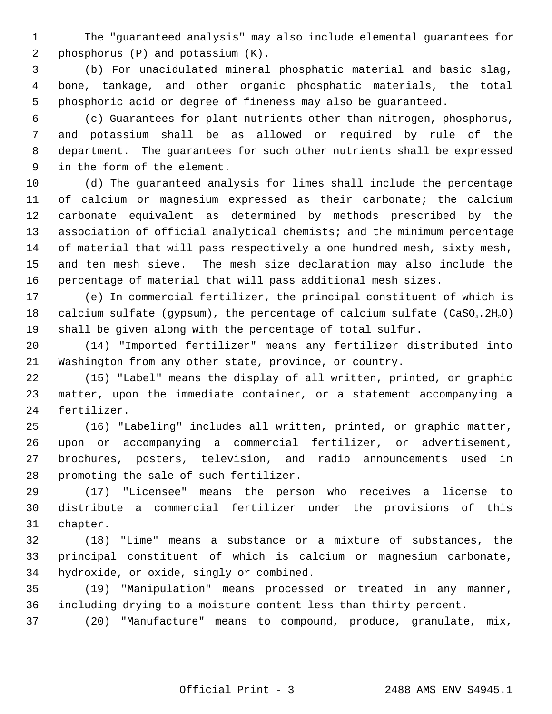1 The "guaranteed analysis" may also include elemental guarantees for 2 phosphorus (P) and potassium (K).

 3 (b) For unacidulated mineral phosphatic material and basic slag, 4 bone, tankage, and other organic phosphatic materials, the total 5 phosphoric acid or degree of fineness may also be guaranteed.

 6 (c) Guarantees for plant nutrients other than nitrogen, phosphorus, 7 and potassium shall be as allowed or required by rule of the 8 department. The guarantees for such other nutrients shall be expressed 9 in the form of the element.

10 (d) The guaranteed analysis for limes shall include the percentage 11 of calcium or magnesium expressed as their carbonate; the calcium 12 carbonate equivalent as determined by methods prescribed by the 13 association of official analytical chemists; and the minimum percentage 14 of material that will pass respectively a one hundred mesh, sixty mesh, 15 and ten mesh sieve. The mesh size declaration may also include the 16 percentage of material that will pass additional mesh sizes.

17 (e) In commercial fertilizer, the principal constituent of which is 18 calcium sulfate (gypsum), the percentage of calcium sulfate  $(CaSO<sub>4</sub>, 2H<sub>2</sub>O)$ 19 shall be given along with the percentage of total sulfur.

20 (14) "Imported fertilizer" means any fertilizer distributed into 21 Washington from any other state, province, or country.

22 (15) "Label" means the display of all written, printed, or graphic 23 matter, upon the immediate container, or a statement accompanying a 24 fertilizer.

25 (16) "Labeling" includes all written, printed, or graphic matter, 26 upon or accompanying a commercial fertilizer, or advertisement, 27 brochures, posters, television, and radio announcements used in 28 promoting the sale of such fertilizer.

29 (17) "Licensee" means the person who receives a license to 30 distribute a commercial fertilizer under the provisions of this 31 chapter.

32 (18) "Lime" means a substance or a mixture of substances, the 33 principal constituent of which is calcium or magnesium carbonate, 34 hydroxide, or oxide, singly or combined.

35 (19) "Manipulation" means processed or treated in any manner, 36 including drying to a moisture content less than thirty percent.

37 (20) "Manufacture" means to compound, produce, granulate, mix,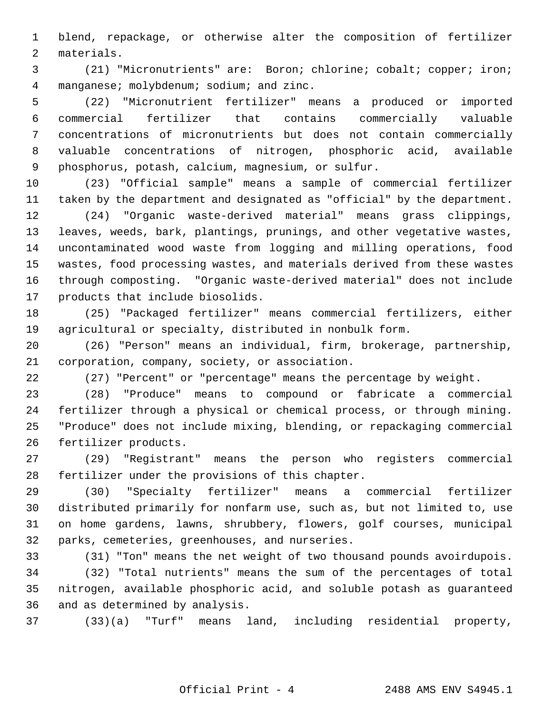1 blend, repackage, or otherwise alter the composition of fertilizer 2 materials.

 3 (21) "Micronutrients" are: Boron; chlorine; cobalt; copper; iron; 4 manganese; molybdenum; sodium; and zinc.

 5 (22) "Micronutrient fertilizer" means a produced or imported 6 commercial fertilizer that contains commercially valuable 7 concentrations of micronutrients but does not contain commercially 8 valuable concentrations of nitrogen, phosphoric acid, available 9 phosphorus, potash, calcium, magnesium, or sulfur.

10 (23) "Official sample" means a sample of commercial fertilizer 11 taken by the department and designated as "official" by the department.

12 (24) "Organic waste-derived material" means grass clippings, 13 leaves, weeds, bark, plantings, prunings, and other vegetative wastes, 14 uncontaminated wood waste from logging and milling operations, food 15 wastes, food processing wastes, and materials derived from these wastes 16 through composting. "Organic waste-derived material" does not include 17 products that include biosolids.

18 (25) "Packaged fertilizer" means commercial fertilizers, either 19 agricultural or specialty, distributed in nonbulk form.

20 (26) "Person" means an individual, firm, brokerage, partnership, 21 corporation, company, society, or association.

22 (27) "Percent" or "percentage" means the percentage by weight.

23 (28) "Produce" means to compound or fabricate a commercial 24 fertilizer through a physical or chemical process, or through mining. 25 "Produce" does not include mixing, blending, or repackaging commercial 26 fertilizer products.

27 (29) "Registrant" means the person who registers commercial 28 fertilizer under the provisions of this chapter.

29 (30) "Specialty fertilizer" means a commercial fertilizer 30 distributed primarily for nonfarm use, such as, but not limited to, use 31 on home gardens, lawns, shrubbery, flowers, golf courses, municipal 32 parks, cemeteries, greenhouses, and nurseries.

33 (31) "Ton" means the net weight of two thousand pounds avoirdupois.

34 (32) "Total nutrients" means the sum of the percentages of total 35 nitrogen, available phosphoric acid, and soluble potash as guaranteed 36 and as determined by analysis.

37 (33)(a) "Turf" means land, including residential property,